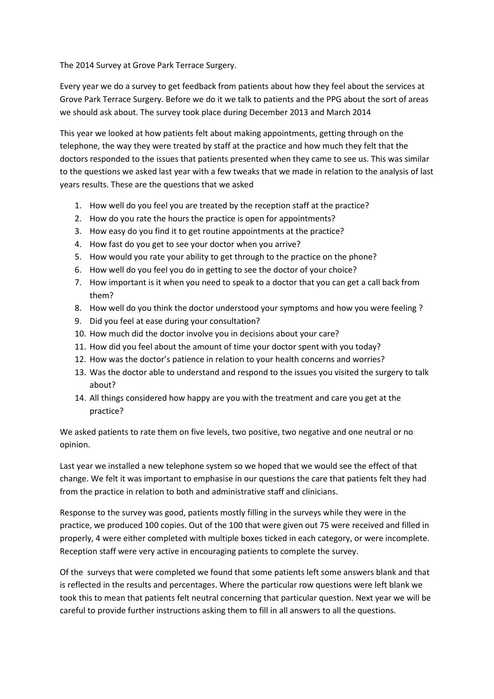The 2014 Survey at Grove Park Terrace Surgery.

Every year we do a survey to get feedback from patients about how they feel about the services at Grove Park Terrace Surgery. Before we do it we talk to patients and the PPG about the sort of areas we should ask about. The survey took place during December 2013 and March 2014

This year we looked at how patients felt about making appointments, getting through on the telephone, the way they were treated by staff at the practice and how much they felt that the doctors responded to the issues that patients presented when they came to see us. This was similar to the questions we asked last year with a few tweaks that we made in relation to the analysis of last years results. These are the questions that we asked

- 1. How well do you feel you are treated by the reception staff at the practice?
- 2. How do you rate the hours the practice is open for appointments?
- 3. How easy do you find it to get routine appointments at the practice?
- 4. How fast do you get to see your doctor when you arrive?
- 5. How would you rate your ability to get through to the practice on the phone?
- 6. How well do you feel you do in getting to see the doctor of your choice?
- 7. How important is it when you need to speak to a doctor that you can get a call back from them?
- 8. How well do you think the doctor understood your symptoms and how you were feeling ?
- 9. Did you feel at ease during your consultation?
- 10. How much did the doctor involve you in decisions about your care?
- 11. How did you feel about the amount of time your doctor spent with you today?
- 12. How was the doctor's patience in relation to your health concerns and worries?
- 13. Was the doctor able to understand and respond to the issues you visited the surgery to talk about?
- 14. All things considered how happy are you with the treatment and care you get at the practice?

We asked patients to rate them on five levels, two positive, two negative and one neutral or no opinion.

Last year we installed a new telephone system so we hoped that we would see the effect of that change. We felt it was important to emphasise in our questions the care that patients felt they had from the practice in relation to both and administrative staff and clinicians.

Response to the survey was good, patients mostly filling in the surveys while they were in the practice, we produced 100 copies. Out of the 100 that were given out 75 were received and filled in properly, 4 were either completed with multiple boxes ticked in each category, or were incomplete. Reception staff were very active in encouraging patients to complete the survey.

Of the surveys that were completed we found that some patients left some answers blank and that is reflected in the results and percentages. Where the particular row questions were left blank we took this to mean that patients felt neutral concerning that particular question. Next year we will be careful to provide further instructions asking them to fill in all answers to all the questions.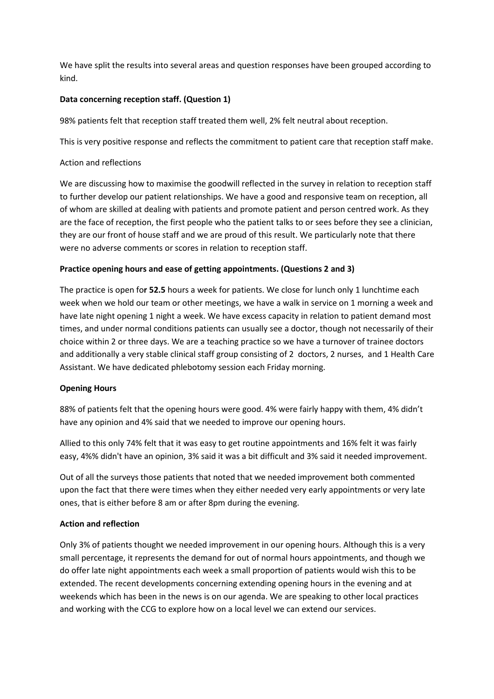We have split the results into several areas and question responses have been grouped according to kind.

### Data concerning reception staff. (Question 1)

98% patients felt that reception staff treated them well, 2% felt neutral about reception.

This is very positive response and reflects the commitment to patient care that reception staff make.

### Action and reflections

We are discussing how to maximise the goodwill reflected in the survey in relation to reception staff to further develop our patient relationships. We have a good and responsive team on reception, all of whom are skilled at dealing with patients and promote patient and person centred work. As they are the face of reception, the first people who the patient talks to or sees before they see a clinician, they are our front of house staff and we are proud of this result. We particularly note that there were no adverse comments or scores in relation to reception staff.

### Practice opening hours and ease of getting appointments. (Questions 2 and 3)

The practice is open for 52.5 hours a week for patients. We close for lunch only 1 lunchtime each week when we hold our team or other meetings, we have a walk in service on 1 morning a week and have late night opening 1 night a week. We have excess capacity in relation to patient demand most times, and under normal conditions patients can usually see a doctor, though not necessarily of their choice within 2 or three days. We are a teaching practice so we have a turnover of trainee doctors and additionally a very stable clinical staff group consisting of 2 doctors, 2 nurses, and 1 Health Care Assistant. We have dedicated phlebotomy session each Friday morning.

#### Opening Hours

88% of patients felt that the opening hours were good. 4% were fairly happy with them, 4% didn't have any opinion and 4% said that we needed to improve our opening hours.

Allied to this only 74% felt that it was easy to get routine appointments and 16% felt it was fairly easy, 4%% didn't have an opinion, 3% said it was a bit difficult and 3% said it needed improvement.

Out of all the surveys those patients that noted that we needed improvement both commented upon the fact that there were times when they either needed very early appointments or very late ones, that is either before 8 am or after 8pm during the evening.

#### Action and reflection

Only 3% of patients thought we needed improvement in our opening hours. Although this is a very small percentage, it represents the demand for out of normal hours appointments, and though we do offer late night appointments each week a small proportion of patients would wish this to be extended. The recent developments concerning extending opening hours in the evening and at weekends which has been in the news is on our agenda. We are speaking to other local practices and working with the CCG to explore how on a local level we can extend our services.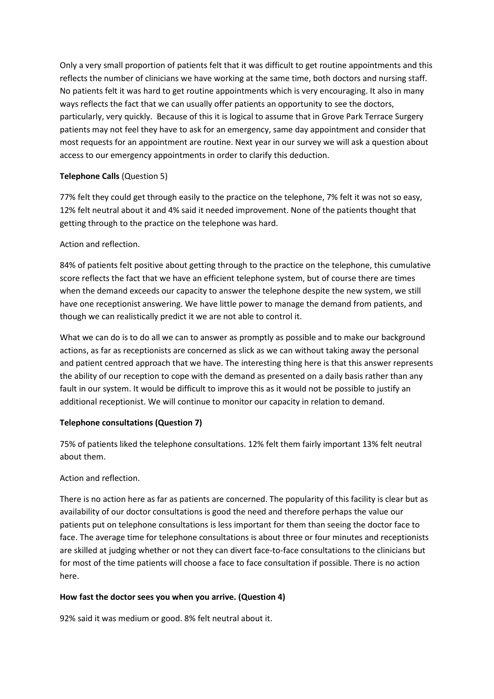Only a very small proportion of patients felt that it was difficult to get routine appointments and this reflects the number of clinicians we have working at the same time, both doctors and nursing staff. No patients felt it was hard to get routine appointments which is very encouraging. It also in many ways reflects the fact that we can usually offer patients an opportunity to see the doctors, particularly, very quickly. Because of this it is logical to assume that in Grove Park Terrace Surgery patients may not feel they have to ask for an emergency, same day appointment and consider that most requests for an appointment are routine. Next year in our survey we will ask a question about access to our emergency appointments in order to clarify this deduction.

## Telephone Calls (Question 5)

77% felt they could get through easily to the practice on the telephone, 7% felt it was not so easy, 12% felt neutral about it and 4% said it needed improvement. None of the patients thought that getting through to the practice on the telephone was hard.

### Action and reflection.

84% of patients felt positive about getting through to the practice on the telephone, this cumulative score reflects the fact that we have an efficient telephone system, but of course there are times when the demand exceeds our capacity to answer the telephone despite the new system, we still have one receptionist answering. We have little power to manage the demand from patients, and though we can realistically predict it we are not able to control it.

What we can do is to do all we can to answer as promptly as possible and to make our background actions, as far as receptionists are concerned as slick as we can without taking away the personal and patient centred approach that we have. The interesting thing here is that this answer represents the ability of our reception to cope with the demand as presented on a daily basis rather than any fault in our system. It would be difficult to improve this as it would not be possible to justify an additional receptionist. We will continue to monitor our capacity in relation to demand.

## Telephone consultations (Question 7)

75% of patients liked the telephone consultations. 12% felt them fairly important 13% felt neutral about them.

## Action and reflection.

There is no action here as far as patients are concerned. The popularity of this facility is clear but as availability of our doctor consultations is good the need and therefore perhaps the value our patients put on telephone consultations is less important for them than seeing the doctor face to face. The average time for telephone consultations is about three or four minutes and receptionists are skilled at judging whether or not they can divert face-to-face consultations to the clinicians but for most of the time patients will choose a face to face consultation if possible. There is no action here.

## How fast the doctor sees you when you arrive. (Question 4)

92% said it was medium or good. 8% felt neutral about it.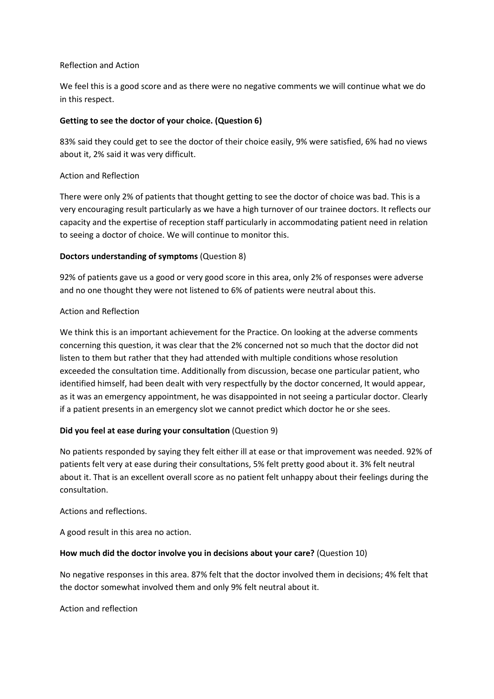#### Reflection and Action

We feel this is a good score and as there were no negative comments we will continue what we do in this respect.

### Getting to see the doctor of your choice. (Question 6)

83% said they could get to see the doctor of their choice easily, 9% were satisfied, 6% had no views about it, 2% said it was very difficult.

### Action and Reflection

There were only 2% of patients that thought getting to see the doctor of choice was bad. This is a very encouraging result particularly as we have a high turnover of our trainee doctors. It reflects our capacity and the expertise of reception staff particularly in accommodating patient need in relation to seeing a doctor of choice. We will continue to monitor this.

### Doctors understanding of symptoms (Question 8)

92% of patients gave us a good or very good score in this area, only 2% of responses were adverse and no one thought they were not listened to 6% of patients were neutral about this.

### Action and Reflection

We think this is an important achievement for the Practice. On looking at the adverse comments concerning this question, it was clear that the 2% concerned not so much that the doctor did not listen to them but rather that they had attended with multiple conditions whose resolution exceeded the consultation time. Additionally from discussion, becase one particular patient, who identified himself, had been dealt with very respectfully by the doctor concerned, It would appear, as it was an emergency appointment, he was disappointed in not seeing a particular doctor. Clearly if a patient presents in an emergency slot we cannot predict which doctor he or she sees.

## Did you feel at ease during your consultation (Question 9)

No patients responded by saying they felt either ill at ease or that improvement was needed. 92% of patients felt very at ease during their consultations, 5% felt pretty good about it. 3% felt neutral about it. That is an excellent overall score as no patient felt unhappy about their feelings during the consultation.

Actions and reflections.

A good result in this area no action.

#### How much did the doctor involve you in decisions about your care? (Question 10)

No negative responses in this area. 87% felt that the doctor involved them in decisions; 4% felt that the doctor somewhat involved them and only 9% felt neutral about it.

Action and reflection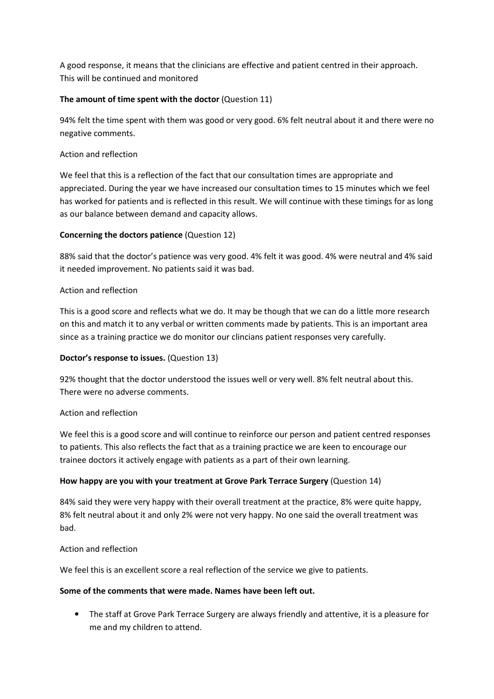A good response, it means that the clinicians are effective and patient centred in their approach. This will be continued and monitored

# The amount of time spent with the doctor (Question 11)

94% felt the time spent with them was good or very good. 6% felt neutral about it and there were no negative comments.

# Action and reflection

We feel that this is a reflection of the fact that our consultation times are appropriate and appreciated. During the year we have increased our consultation times to 15 minutes which we feel has worked for patients and is reflected in this result. We will continue with these timings for as long as our balance between demand and capacity allows.

## Concerning the doctors patience (Question 12)

88% said that the doctor's patience was very good. 4% felt it was good. 4% were neutral and 4% said it needed improvement. No patients said it was bad.

## Action and reflection

This is a good score and reflects what we do. It may be though that we can do a little more research on this and match it to any verbal or written comments made by patients. This is an important area since as a training practice we do monitor our clincians patient responses very carefully.

## Doctor's response to issues. (Question 13)

92% thought that the doctor understood the issues well or very well. 8% felt neutral about this. There were no adverse comments.

## Action and reflection

We feel this is a good score and will continue to reinforce our person and patient centred responses to patients. This also reflects the fact that as a training practice we are keen to encourage our trainee doctors it actively engage with patients as a part of their own learning.

## How happy are you with your treatment at Grove Park Terrace Surgery (Question 14)

84% said they were very happy with their overall treatment at the practice, 8% were quite happy, 8% felt neutral about it and only 2% were not very happy. No one said the overall treatment was bad.

## Action and reflection

We feel this is an excellent score a real reflection of the service we give to patients.

## Some of the comments that were made. Names have been left out.

• The staff at Grove Park Terrace Surgery are always friendly and attentive, it is a pleasure for me and my children to attend.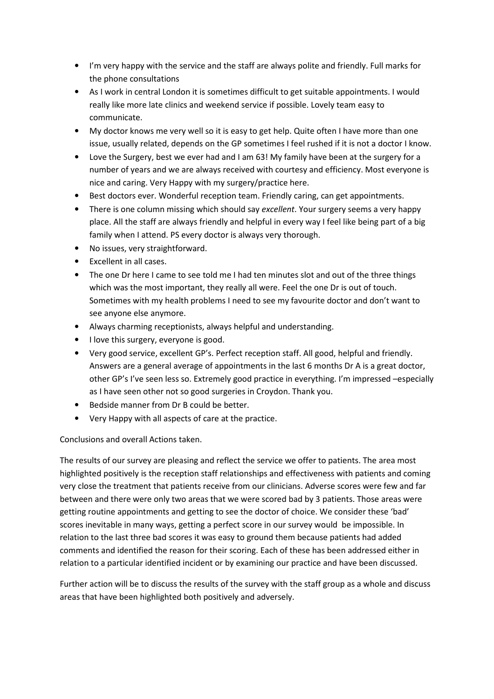- I'm very happy with the service and the staff are always polite and friendly. Full marks for the phone consultations
- As I work in central London it is sometimes difficult to get suitable appointments. I would really like more late clinics and weekend service if possible. Lovely team easy to communicate.
- My doctor knows me very well so it is easy to get help. Quite often I have more than one issue, usually related, depends on the GP sometimes I feel rushed if it is not a doctor I know.
- Love the Surgery, best we ever had and I am 63! My family have been at the surgery for a number of years and we are always received with courtesy and efficiency. Most everyone is nice and caring. Very Happy with my surgery/practice here.
- Best doctors ever. Wonderful reception team. Friendly caring, can get appointments.
- There is one column missing which should say excellent. Your surgery seems a very happy place. All the staff are always friendly and helpful in every way I feel like being part of a big family when I attend. PS every doctor is always very thorough.
- No issues, very straightforward.
- Excellent in all cases.
- The one Dr here I came to see told me I had ten minutes slot and out of the three things which was the most important, they really all were. Feel the one Dr is out of touch. Sometimes with my health problems I need to see my favourite doctor and don't want to see anyone else anymore.
- Always charming receptionists, always helpful and understanding.
- I love this surgery, everyone is good.
- Very good service, excellent GP's. Perfect reception staff. All good, helpful and friendly. Answers are a general average of appointments in the last 6 months Dr A is a great doctor, other GP's I've seen less so. Extremely good practice in everything. I'm impressed –especially as I have seen other not so good surgeries in Croydon. Thank you.
- Bedside manner from Dr B could be better.
- Very Happy with all aspects of care at the practice.

Conclusions and overall Actions taken.

The results of our survey are pleasing and reflect the service we offer to patients. The area most highlighted positively is the reception staff relationships and effectiveness with patients and coming very close the treatment that patients receive from our clinicians. Adverse scores were few and far between and there were only two areas that we were scored bad by 3 patients. Those areas were getting routine appointments and getting to see the doctor of choice. We consider these 'bad' scores inevitable in many ways, getting a perfect score in our survey would be impossible. In relation to the last three bad scores it was easy to ground them because patients had added comments and identified the reason for their scoring. Each of these has been addressed either in relation to a particular identified incident or by examining our practice and have been discussed.

Further action will be to discuss the results of the survey with the staff group as a whole and discuss areas that have been highlighted both positively and adversely.